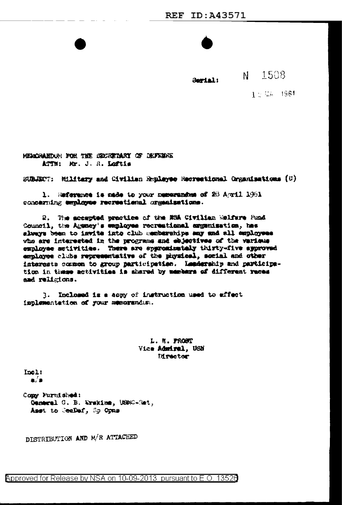Serial:

N 1508

 $1.5\%$ A 1961

HEMOGARDURI FOR THE GEORGINARY OF DEFINING ATTN: Mr. J. R. Loftis

SUBJECT: Military and Civilian Replayee Mecreational Crganisations (U)

1. Meferance is made to your numerandum of 28 April 1961 concerning employee recreational organizations.

2. The scompted practice of the MSA Civilian Welfare Fund Council, the Agency's employee recreational expenisation, has always been to invite into club memberships any and all employees who are interested in the programs and ebjectives of the various employee activities. There are appromisately thirty-five approved employee clubs representative of the physical, social and other interests common to group participation. Landership and participation in these activities is shared by members of different races and religions.

3. Inclosed is a sony of instruction used to effect implementation of your memorandus.

> L. N. FROST Vice Admiral, USN **Hirector**

Inel:  $\bullet$   $\bullet$ 

Comy Furnished: Ceneral C. B. Wrskins, USMC-Sat, Asst to Cealef, Sp Opas

DISTRIBUTION AND M/R ATTACHED